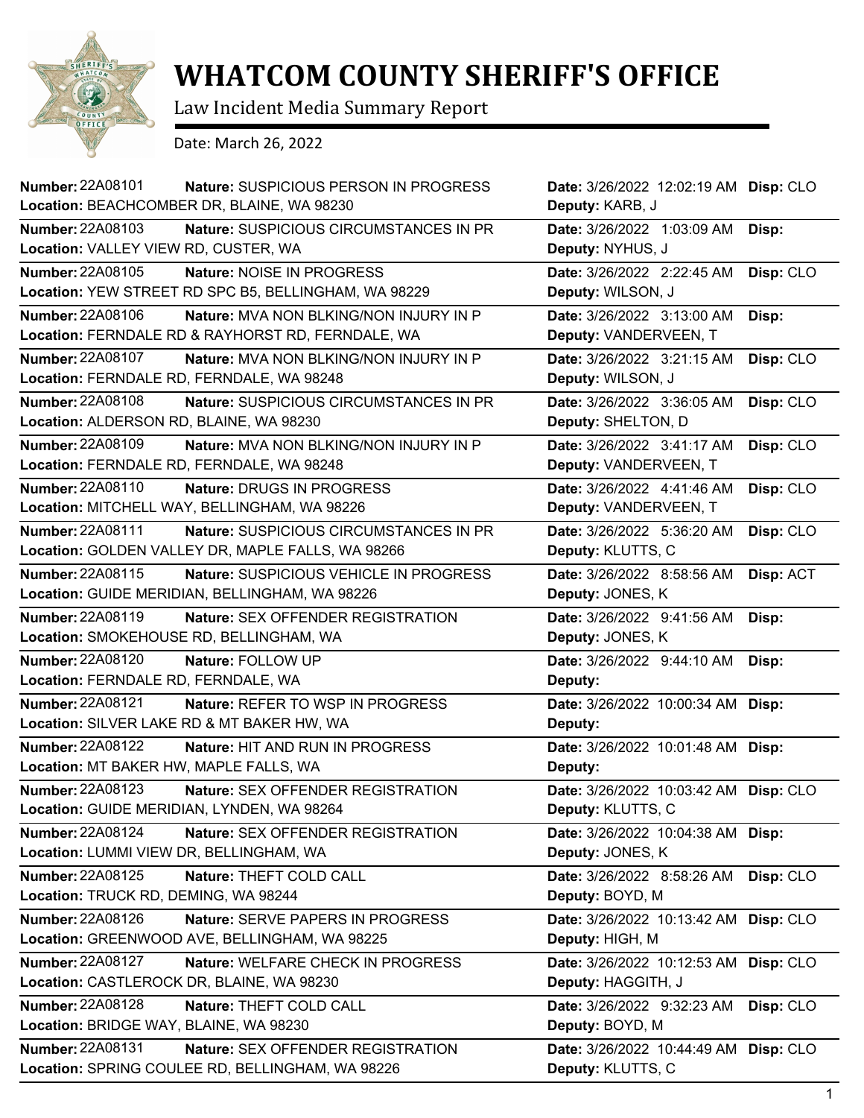

## **WHATCOM COUNTY SHERIFF'S OFFICE**

Law Incident Media Summary Report

Date: March 26, 2022

| Number: 22A08101                       | Nature: SUSPICIOUS PERSON IN PROGRESS<br>Location: BEACHCOMBER DR, BLAINE, WA 98230 | Date: 3/26/2022 12:02:19 AM Disp: CLO<br>Deputy: KARB, J |           |
|----------------------------------------|-------------------------------------------------------------------------------------|----------------------------------------------------------|-----------|
| <b>Number: 22A08103</b>                | Nature: SUSPICIOUS CIRCUMSTANCES IN PR                                              | Date: 3/26/2022 1:03:09 AM                               | Disp:     |
| Location: VALLEY VIEW RD, CUSTER, WA   |                                                                                     | Deputy: NYHUS, J                                         |           |
| Number: 22A08105                       | Nature: NOISE IN PROGRESS                                                           | Date: 3/26/2022 2:22:45 AM                               | Disp: CLO |
|                                        | Location: YEW STREET RD SPC B5, BELLINGHAM, WA 98229                                | Deputy: WILSON, J                                        |           |
| <b>Number: 22A08106</b>                | Nature: MVA NON BLKING/NON INJURY IN P                                              | Date: 3/26/2022 3:13:00 AM                               | Disp:     |
|                                        | Location: FERNDALE RD & RAYHORST RD, FERNDALE, WA                                   | Deputy: VANDERVEEN, T                                    |           |
| Number: 22A08107                       | Nature: MVA NON BLKING/NON INJURY IN P                                              | Date: 3/26/2022 3:21:15 AM                               | Disp: CLO |
|                                        | Location: FERNDALE RD, FERNDALE, WA 98248                                           | Deputy: WILSON, J                                        |           |
| <b>Number: 22A08108</b>                | Nature: SUSPICIOUS CIRCUMSTANCES IN PR                                              | Date: 3/26/2022 3:36:05 AM                               | Disp: CLO |
|                                        | Location: ALDERSON RD, BLAINE, WA 98230                                             | Deputy: SHELTON, D                                       |           |
| Number: 22A08109                       | <b>Nature: MVA NON BLKING/NON INJURY IN P</b>                                       | Date: 3/26/2022 3:41:17 AM                               | Disp: CLO |
|                                        | Location: FERNDALE RD, FERNDALE, WA 98248                                           | Deputy: VANDERVEEN, T                                    |           |
| Number: 22A08110                       | Nature: DRUGS IN PROGRESS                                                           | Date: 3/26/2022 4:41:46 AM                               | Disp: CLO |
|                                        | Location: MITCHELL WAY, BELLINGHAM, WA 98226                                        | Deputy: VANDERVEEN, T                                    |           |
| Number: 22A08111                       | Nature: SUSPICIOUS CIRCUMSTANCES IN PR                                              | Date: 3/26/2022 5:36:20 AM                               | Disp: CLO |
|                                        | Location: GOLDEN VALLEY DR, MAPLE FALLS, WA 98266                                   | Deputy: KLUTTS, C                                        |           |
| Number: 22A08115                       | Nature: SUSPICIOUS VEHICLE IN PROGRESS                                              | Date: 3/26/2022 8:58:56 AM                               | Disp: ACT |
|                                        | Location: GUIDE MERIDIAN, BELLINGHAM, WA 98226                                      | Deputy: JONES, K                                         |           |
| Number: 22A08119                       | <b>Nature: SEX OFFENDER REGISTRATION</b>                                            | Date: 3/26/2022 9:41:56 AM                               | Disp:     |
|                                        | Location: SMOKEHOUSE RD, BELLINGHAM, WA                                             | Deputy: JONES, K                                         |           |
| <b>Number: 22A08120</b>                | Nature: FOLLOW UP                                                                   | Date: 3/26/2022 9:44:10 AM                               | Disp:     |
| Location: FERNDALE RD, FERNDALE, WA    |                                                                                     | Deputy:                                                  |           |
| <b>Number: 22A08121</b>                | Nature: REFER TO WSP IN PROGRESS                                                    | Date: 3/26/2022 10:00:34 AM Disp:                        |           |
|                                        | Location: SILVER LAKE RD & MT BAKER HW, WA                                          | Deputy:                                                  |           |
| <b>Number: 22A08122</b>                | Nature: HIT AND RUN IN PROGRESS                                                     | Date: 3/26/2022 10:01:48 AM Disp:                        |           |
|                                        | Location: MT BAKER HW, MAPLE FALLS, WA                                              | Deputy:                                                  |           |
| Number: 22A08123                       | Nature: SEX OFFENDER REGISTRATION                                                   | Date: 3/26/2022 10:03:42 AM Disp: CLO                    |           |
|                                        | Location: GUIDE MERIDIAN, LYNDEN, WA 98264                                          | Deputy: KLUTTS, C                                        |           |
| Number: 22A08124                       | Nature: SEX OFFENDER REGISTRATION                                                   | Date: 3/26/2022 10:04:38 AM Disp:                        |           |
|                                        | Location: LUMMI VIEW DR, BELLINGHAM, WA                                             | Deputy: JONES, K                                         |           |
| Number: 22A08125                       | Nature: THEFT COLD CALL                                                             | Date: 3/26/2022 8:58:26 AM                               | Disp: CLO |
| Location: TRUCK RD, DEMING, WA 98244   |                                                                                     | Deputy: BOYD, M                                          |           |
| Number: 22A08126                       | Nature: SERVE PAPERS IN PROGRESS                                                    | Date: 3/26/2022 10:13:42 AM Disp: CLO                    |           |
|                                        | Location: GREENWOOD AVE, BELLINGHAM, WA 98225                                       | Deputy: HIGH, M                                          |           |
| <b>Number: 22A08127</b>                | Nature: WELFARE CHECK IN PROGRESS                                                   | Date: 3/26/2022 10:12:53 AM Disp: CLO                    |           |
|                                        | Location: CASTLEROCK DR, BLAINE, WA 98230                                           | Deputy: HAGGITH, J                                       |           |
| Number: 22A08128                       | Nature: THEFT COLD CALL                                                             | Date: 3/26/2022 9:32:23 AM                               | Disp: CLO |
| Location: BRIDGE WAY, BLAINE, WA 98230 |                                                                                     | Deputy: BOYD, M                                          |           |
| Number: 22A08131                       | Nature: SEX OFFENDER REGISTRATION                                                   | Date: 3/26/2022 10:44:49 AM Disp: CLO                    |           |
|                                        | Location: SPRING COULEE RD, BELLINGHAM, WA 98226                                    | Deputy: KLUTTS, C                                        |           |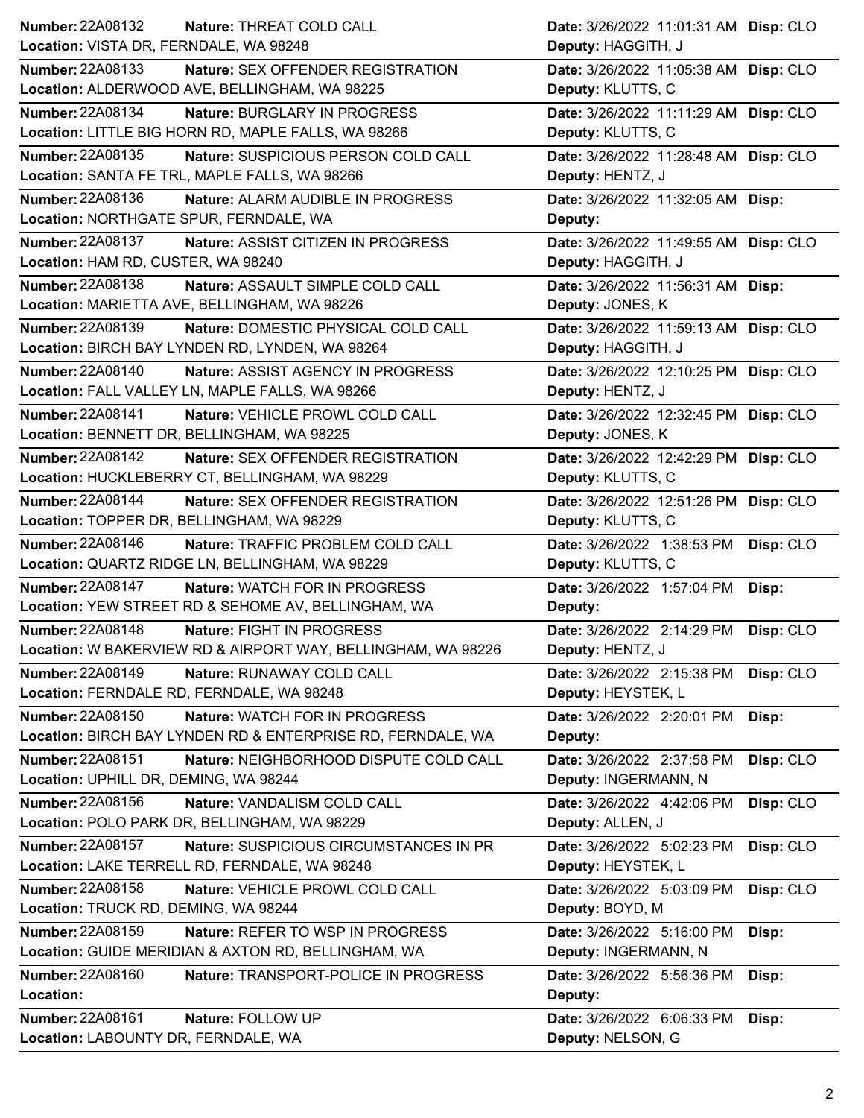| Number: 22A08132<br>Nature: THREAT COLD CALL                                 | Date: 3/26/2022 11:01:31 AM Disp: CLO                    |
|------------------------------------------------------------------------------|----------------------------------------------------------|
| Location: VISTA DR, FERNDALE, WA 98248                                       | Deputy: HAGGITH, J                                       |
| <b>Number: 22A08133</b><br><b>Nature: SEX OFFENDER REGISTRATION</b>          | Date: 3/26/2022 11:05:38 AM Disp: CLO                    |
| Location: ALDERWOOD AVE, BELLINGHAM, WA 98225                                | Deputy: KLUTTS, C                                        |
| <b>Number: 22A08134</b><br>Nature: BURGLARY IN PROGRESS                      | Date: 3/26/2022 11:11:29 AM Disp: CLO                    |
| Location: LITTLE BIG HORN RD, MAPLE FALLS, WA 98266                          | Deputy: KLUTTS, C                                        |
| <b>Number: 22A08135</b><br>Nature: SUSPICIOUS PERSON COLD CALL               | Date: 3/26/2022 11:28:48 AM Disp: CLO                    |
| Location: SANTA FE TRL, MAPLE FALLS, WA 98266                                | Deputy: HENTZ, J                                         |
| Number: 22A08136<br>Nature: ALARM AUDIBLE IN PROGRESS                        | Date: 3/26/2022 11:32:05 AM Disp:                        |
| Location: NORTHGATE SPUR, FERNDALE, WA                                       | Deputy:                                                  |
| Number: 22A08137<br>Nature: ASSIST CITIZEN IN PROGRESS                       | Date: 3/26/2022 11:49:55 AM Disp: CLO                    |
| Location: HAM RD, CUSTER, WA 98240                                           | Deputy: HAGGITH, J                                       |
| Number: 22A08138<br>Nature: ASSAULT SIMPLE COLD CALL                         | Date: 3/26/2022 11:56:31 AM Disp:                        |
| Location: MARIETTA AVE, BELLINGHAM, WA 98226                                 | Deputy: JONES, K                                         |
| Number: 22A08139<br>Nature: DOMESTIC PHYSICAL COLD CALL                      | Date: 3/26/2022 11:59:13 AM Disp: CLO                    |
| Location: BIRCH BAY LYNDEN RD, LYNDEN, WA 98264                              | Deputy: HAGGITH, J                                       |
| <b>Number: 22A08140</b><br>Nature: ASSIST AGENCY IN PROGRESS                 | Date: 3/26/2022 12:10:25 PM Disp: CLO                    |
| Location: FALL VALLEY LN, MAPLE FALLS, WA 98266                              | Deputy: HENTZ, J                                         |
| Number: 22A08141<br>Nature: VEHICLE PROWL COLD CALL                          | Date: 3/26/2022 12:32:45 PM Disp: CLO                    |
| Location: BENNETT DR, BELLINGHAM, WA 98225                                   | Deputy: JONES, K                                         |
| <b>Number: 22A08142</b><br><b>Nature: SEX OFFENDER REGISTRATION</b>          | Date: 3/26/2022 12:42:29 PM Disp: CLO                    |
| Location: HUCKLEBERRY CT, BELLINGHAM, WA 98229                               | Deputy: KLUTTS, C                                        |
| Number: 22A08144<br>Nature: SEX OFFENDER REGISTRATION                        | Date: 3/26/2022 12:51:26 PM Disp: CLO                    |
| Location: TOPPER DR, BELLINGHAM, WA 98229                                    | Deputy: KLUTTS, C                                        |
| <b>Number: 22A08146</b><br>Nature: TRAFFIC PROBLEM COLD CALL                 | Date: 3/26/2022 1:38:53 PM<br>Disp: CLO                  |
|                                                                              |                                                          |
| Location: QUARTZ RIDGE LN, BELLINGHAM, WA 98229                              | Deputy: KLUTTS, C                                        |
| <b>Number: 22A08147</b><br>Nature: WATCH FOR IN PROGRESS                     | Date: 3/26/2022 1:57:04 PM<br>Disp:                      |
| Location: YEW STREET RD & SEHOME AV, BELLINGHAM, WA                          | Deputy:                                                  |
| <b>Number: 22A08148</b><br>Nature: FIGHT IN PROGRESS                         | Date: 3/26/2022 2:14:29 PM Disp: CLO                     |
| Location: W BAKERVIEW RD & AIRPORT WAY, BELLINGHAM, WA 98226                 | Deputy: HENTZ, J                                         |
| <b>Number: 22A08149</b><br>Nature: RUNAWAY COLD CALL                         | Date: 3/26/2022 2:15:38 PM<br>Disp: CLO                  |
| Location: FERNDALE RD, FERNDALE, WA 98248                                    | Deputy: HEYSTEK, L                                       |
| Number: 22A08150<br>Nature: WATCH FOR IN PROGRESS                            | Date: 3/26/2022 2:20:01 PM<br>Disp:                      |
| Location: BIRCH BAY LYNDEN RD & ENTERPRISE RD, FERNDALE, WA                  | Deputy:                                                  |
| Number: 22A08151<br>Nature: NEIGHBORHOOD DISPUTE COLD CALL                   | Date: 3/26/2022 2:37:58 PM<br>Disp: CLO                  |
| Location: UPHILL DR, DEMING, WA 98244                                        | Deputy: INGERMANN, N                                     |
| Number: 22A08156<br>Nature: VANDALISM COLD CALL                              | Date: 3/26/2022 4:42:06 PM<br>Disp: CLO                  |
| Location: POLO PARK DR, BELLINGHAM, WA 98229                                 | Deputy: ALLEN, J                                         |
| Number: 22A08157<br>Nature: SUSPICIOUS CIRCUMSTANCES IN PR                   | Date: 3/26/2022 5:02:23 PM<br>Disp: CLO                  |
| Location: LAKE TERRELL RD, FERNDALE, WA 98248                                | Deputy: HEYSTEK, L                                       |
| <b>Number: 22A08158</b><br>Nature: VEHICLE PROWL COLD CALL                   | Date: 3/26/2022 5:03:09 PM<br>Disp: CLO                  |
| Location: TRUCK RD, DEMING, WA 98244                                         | Deputy: BOYD, M                                          |
| Number: 22A08159<br>Nature: REFER TO WSP IN PROGRESS                         | Date: 3/26/2022 5:16:00 PM<br>Disp:                      |
| Location: GUIDE MERIDIAN & AXTON RD, BELLINGHAM, WA                          | Deputy: INGERMANN, N                                     |
| <b>Number: 22A08160</b><br>Nature: TRANSPORT-POLICE IN PROGRESS              | Date: 3/26/2022 5:56:36 PM<br>Disp:                      |
| Location:                                                                    | Deputy:                                                  |
| Number: 22A08161<br>Nature: FOLLOW UP<br>Location: LABOUNTY DR, FERNDALE, WA | Date: 3/26/2022 6:06:33 PM<br>Disp:<br>Deputy: NELSON, G |